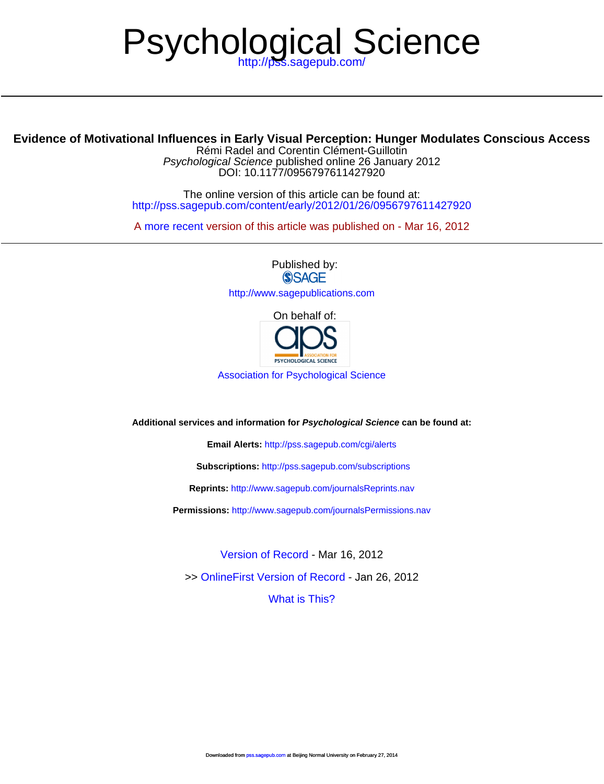# Psychological Science

# **Evidence of Motivational Influences in Earl[y Visual Perception: Hunger](http://pss.sagepub.com/subscriptions) Modulates Conscious Access**

D[OI: 10.1177/0956797611427920](http://www.sagepub.com/journalsReprints.nav) Psychological Science published online 26 January 2012 Rémi Radel and Corentin Clément-Guillotin

<http://pss.sagepub.com/content/early/2012/01/26/0956797611427920> The online version of this article can be found at:

A [more recent v](http://pss.sagepub.com/content/23/3/232)ersi[on of this article was published on - Mar 16](http://www.sagepub.com/journalsPermissions.nav), 2012

Published by:<br>
SAGE <http://www.sagepublications.com> [On beha](http://pss.sagepub.com/content/23/3/232.full.pdf)lf of:

PSYCHOLOGICAL SCIENCE

[Association for Psychological Science](http://www.psychologicalscience.org/)

**Additional services and information for Psychological Science can be found at:**

**Email Alerts:** <http://pss.sagepub.com/cgi/alerts>

**Subscriptions:** <http://pss.sagepub.com/subscriptions>

**Reprints:** <http://www.sagepub.com/journalsReprints.nav>

**Permissions:** <http://www.sagepub.com/journalsPermissions.nav>

>> [OnlineFirst Version of Record -](http://pss.sagepub.com/content/early/2012/01/26/0956797611427920.full.pdf) Jan 26, 2012 [Version of Record -](http://pss.sagepub.com/content/23/3/232.full.pdf) Mar 16, 2012

[What is This?](http://online.sagepub.com/site/sphelp/vorhelp.xhtml)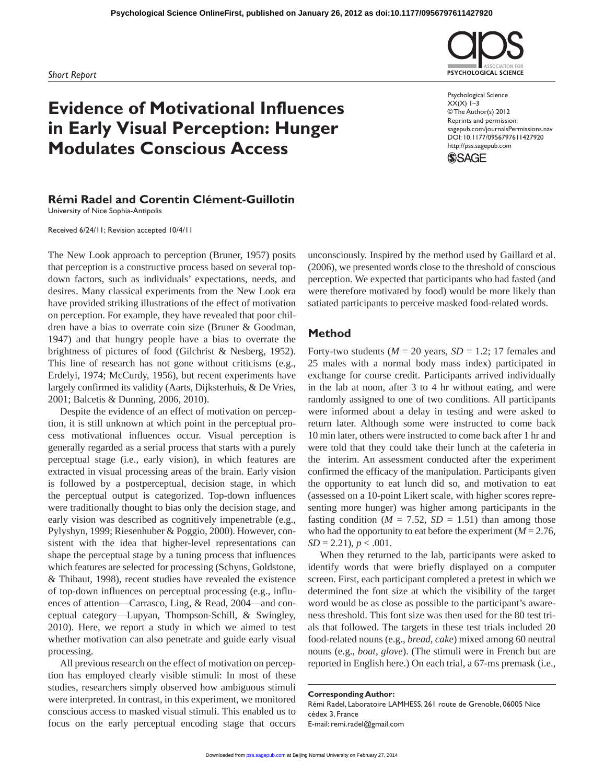# **Evidence of Motivational Influences in Early Visual Perception: Hunger Modulates Conscious Access**

# **Rémi Radel and Corentin Clément-Guillotin**

University of Nice Sophia-Antipolis

Received 6/24/11; Revision accepted 10/4/11

The New Look approach to perception (Bruner, 1957) posits that perception is a constructive process based on several topdown factors, such as individuals' expectations, needs, and desires. Many classical experiments from the New Look era have provided striking illustrations of the effect of motivation on perception. For example, they have revealed that poor children have a bias to overrate coin size (Bruner & Goodman, 1947) and that hungry people have a bias to overrate the brightness of pictures of food (Gilchrist & Nesberg, 1952). This line of research has not gone without criticisms (e.g., Erdelyi, 1974; McCurdy, 1956), but recent experiments have largely confirmed its validity (Aarts, Dijksterhuis, & De Vries, 2001; Balcetis & Dunning, 2006, 2010).

Despite the evidence of an effect of motivation on perception, it is still unknown at which point in the perceptual process motivational influences occur. Visual perception is generally regarded as a serial process that starts with a purely perceptual stage (i.e., early vision), in which features are extracted in visual processing areas of the brain. Early vision is followed by a postperceptual, decision stage, in which the perceptual output is categorized. Top-down influences were traditionally thought to bias only the decision stage, and early vision was described as cognitively impenetrable (e.g., Pylyshyn, 1999; Riesenhuber & Poggio, 2000). However, consistent with the idea that higher-level representations can shape the perceptual stage by a tuning process that influences which features are selected for processing (Schyns, Goldstone, & Thibaut, 1998), recent studies have revealed the existence of top-down influences on perceptual processing (e.g., influences of attention—Carrasco, Ling, & Read, 2004—and conceptual category—Lupyan, Thompson-Schill, & Swingley, 2010). Here, we report a study in which we aimed to test whether motivation can also penetrate and guide early visual processing.

All previous research on the effect of motivation on perception has employed clearly visible stimuli: In most of these studies, researchers simply observed how ambiguous stimuli were interpreted. In contrast, in this experiment, we monitored conscious access to masked visual stimuli. This enabled us to focus on the early perceptual encoding stage that occurs

unconsciously. Inspired by the method used by Gaillard et al. (2006), we presented words close to the threshold of conscious perception. We expected that participants who had fasted (and were therefore motivated by food) would be more likely than satiated participants to perceive masked food-related words.

# **Method**

Forty-two students ( $M = 20$  years,  $SD = 1.2$ ; 17 females and 25 males with a normal body mass index) participated in exchange for course credit. Participants arrived individually in the lab at noon, after 3 to 4 hr without eating, and were randomly assigned to one of two conditions. All participants were informed about a delay in testing and were asked to return later. Although some were instructed to come back 10 min later, others were instructed to come back after 1 hr and were told that they could take their lunch at the cafeteria in the interim. An assessment conducted after the experiment confirmed the efficacy of the manipulation. Participants given the opportunity to eat lunch did so, and motivation to eat (assessed on a 10-point Likert scale, with higher scores representing more hunger) was higher among participants in the fasting condition ( $M = 7.52$ ,  $SD = 1.51$ ) than among those who had the opportunity to eat before the experiment  $(M = 2.76)$ ,  $SD = 2.21$ ,  $p < .001$ .

When they returned to the lab, participants were asked to identify words that were briefly displayed on a computer screen. First, each participant completed a pretest in which we determined the font size at which the visibility of the target word would be as close as possible to the participant's awareness threshold. This font size was then used for the 80 test trials that followed. The targets in these test trials included 20 food-related nouns (e.g., *bread*, *cake*) mixed among 60 neutral nouns (e.g., *boat*, *glove*). (The stimuli were in French but are reported in English here.) On each trial, a 67-ms premask (i.e.,

#### **Corresponding Author:**

Rémi Radel, Laboratoire LAMHESS, 261 route de Grenoble, 06005 Nice cédex 3, France E-[mail: remi.rade](http://pss.sagepub.com/)l@gmail.com





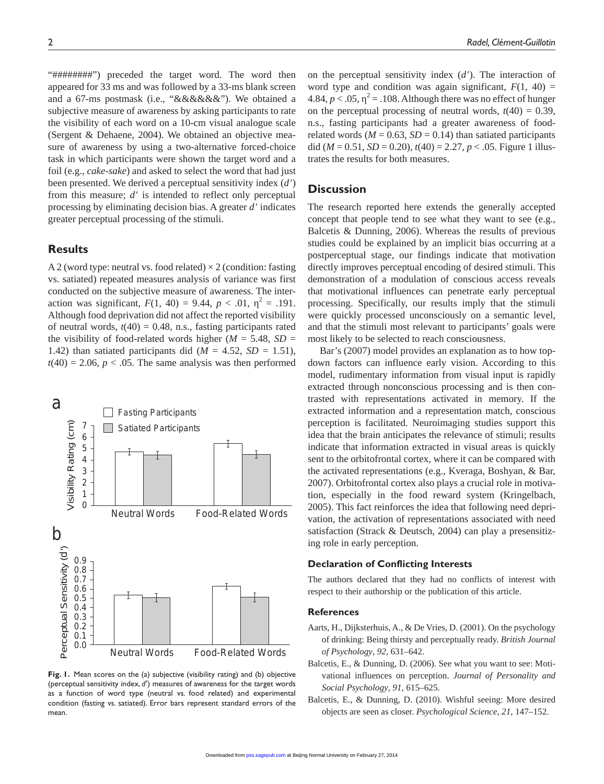"##########") preceded the target word. The word then appeared for 33 ms and was followed by a 33-ms blank screen and a 67-ms postmask (i.e., "&&&&&&"). We obtained a subjective measure of awareness by asking participants to rate the visibility of each word on a 10-cm visual analogue scale (Sergent & Dehaene, 2004). We obtained an objective measure of awareness by using a two-alternative forced-choice task in which participants were shown the target word and a foil (e.g., *cake*-*sake*) and asked to select the word that had just been presented. We derived a perceptual sensitivity index (*d*′) from this measure;  $d$  is intended to reflect only perceptual processing by eliminating decision bias. A greater *d*′ indicates greater perceptual processing of the stimuli.

## **Results**

A 2 (word type: neutral vs. food related)  $\times$  2 (condition: fasting vs. satiated) repeated measures analysis of variance was first conducted on the subjective measure of awareness. The interaction was significant,  $F(1, 40) = 9.44$ ,  $p < .01$ ,  $\lambda^2 = .191$ . Although food deprivation did not affect the reported visibility of neutral words,  $t(40) = 0.48$ , n.s., fasting participants rated the visibility of food-related words higher ( $M = 5.48$ ,  $SD =$ 1.42) than satiated participants did  $(M = 4.52, SD = 1.51)$ ,  $t(40) = 2.06$ ,  $p < .05$ . The same analysis was then performed



**Fig. 1.** Mean scores on the (a) subjective (visibility rating) and (b) objective (perceptual sensitivity index, *d*′) measures of awareness for the target words as a function of word type (neutral vs. food related) and experimental condition (fasting vs. satiated). Error bars represent standard errors of the mean.

on the perceptual sensitivity index (*d*′). The interaction of word type and condition was again significant,  $F(1, 40) =$ 4.84,  $p < .05$ ,  $\frac{2}{5} = .108$ . Although there was no effect of hunger on the perceptual processing of neutral words,  $t(40) = 0.39$ , n.s., fasting participants had a greater awareness of foodrelated words ( $M = 0.63$ ,  $SD = 0.14$ ) than satiated participants did ( $M = 0.51$ ,  $SD = 0.20$ ),  $t(40) = 2.27$ ,  $p < .05$ . Figure 1 illustrates the results for both measures.

# **Discussion**

The research reported here extends the generally accepted concept that people tend to see what they want to see (e.g., Balcetis & Dunning, 2006). Whereas the results of previous studies could be explained by an implicit bias occurring at a postperceptual stage, our findings indicate that motivation directly improves perceptual encoding of desired stimuli. This demonstration of a modulation of conscious access reveals that motivational influences can penetrate early perceptual processing. Specifically, our results imply that the stimuli were quickly processed unconsciously on a semantic level, and that the stimuli most relevant to participants' goals were most likely to be selected to reach consciousness.

Bar's (2007) model provides an explanation as to how topdown factors can influence early vision. According to this model, rudimentary information from visual input is rapidly extracted through nonconscious processing and is then contrasted with representations activated in memory. If the extracted information and a representation match, conscious perception is facilitated. Neuroimaging studies support this idea that the brain anticipates the relevance of stimuli; results indicate that information extracted in visual areas is quickly sent to the orbitofrontal cortex, where it can be compared with the activated representations (e.g., Kveraga, Boshyan, & Bar, 2007). Orbitofrontal cortex also plays a crucial role in motivation, especially in the food reward system (Kringelbach, 2005). This fact reinforces the idea that following need deprivation, the activation of representations associated with need satisfaction (Strack & Deutsch, 2004) can play a presensitizing role in early perception.

### **Declaration of Conflicting Interests**

The authors declared that they had no conflicts of interest with respect to their authorship or the publication of this article.

### **References**

- Aarts, H., Dijksterhuis, A., & De Vries, D. (2001). On the psychology of drinking: Being thirsty and perceptually ready. *British Journal of Psychology*, *92*, 631–642.
- Balcetis, E., & Dunning, D. (2006). See what you want to see: Motivational influences on perception. *Journal of Personality and Social Psychology*, *91*, 615–625.
- Balcetis, E., & Dunning, D. (2010). Wishful seeing: More desired objects are seen as closer. *Psychological Science*, *21*, 147–152.